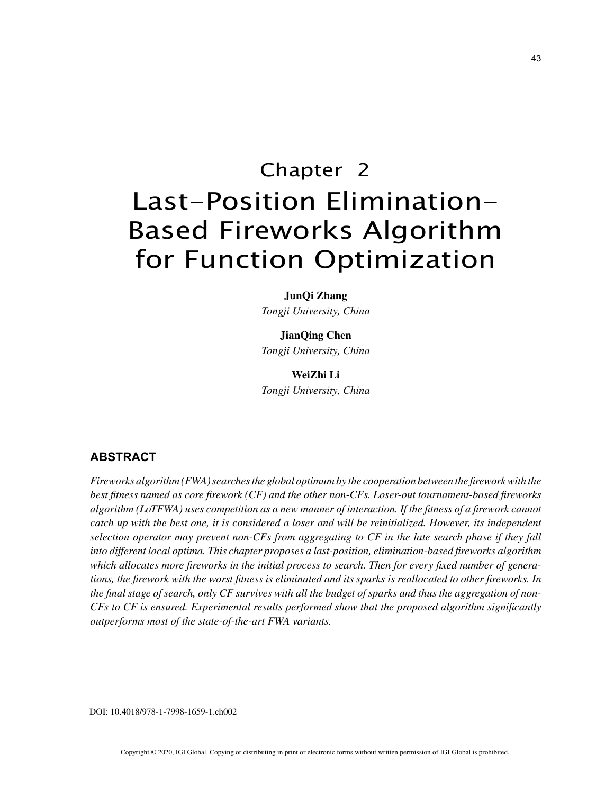# Chapter 2 Last-Position Elimination-Based Fireworks Algorithm for Function Optimization

**JunQi Zhang** *Tongji University, China*

#### **JianQing Chen**

*Tongji University, China*

## **WeiZhi Li** *Tongji University, China*

## **ABSTRACT**

*Fireworks algorithm (FWA) searches the global optimum by the cooperation between the firework with the best fitness named as core firework (CF) and the other non-CFs. Loser-out tournament-based fireworks algorithm (LoTFWA) uses competition as a new manner of interaction. If the fitness of a firework cannot catch up with the best one, it is considered a loser and will be reinitialized. However, its independent selection operator may prevent non-CFs from aggregating to CF in the late search phase if they fall into different local optima. This chapter proposes a last-position, elimination-based fireworks algorithm which allocates more fireworks in the initial process to search. Then for every fixed number of generations, the firework with the worst fitness is eliminated and its sparks is reallocated to other fireworks. In the final stage of search, only CF survives with all the budget of sparks and thus the aggregation of non-CFs to CF is ensured. Experimental results performed show that the proposed algorithm significantly outperforms most of the state-of-the-art FWA variants.*

DOI: 10.4018/978-1-7998-1659-1.ch002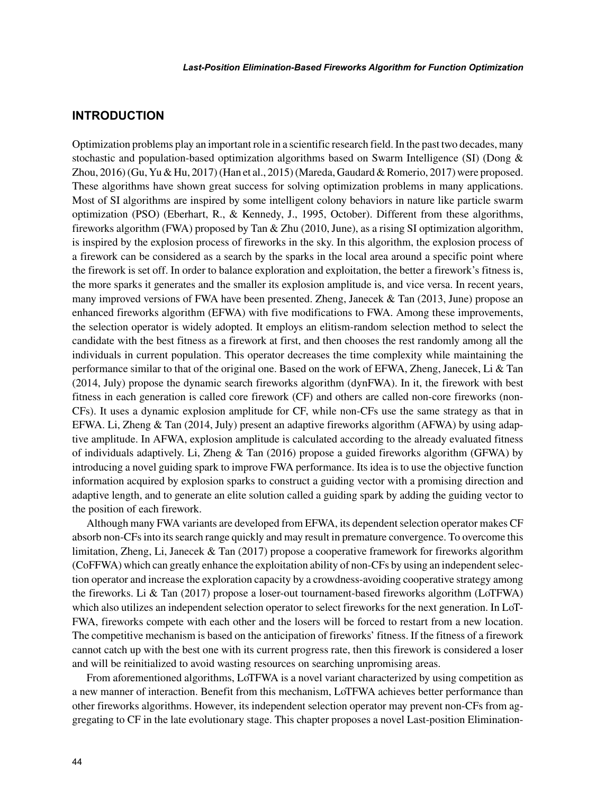# **INTRODUCTION**

Optimization problems play an important role in a scientific research field. In the past two decades, many stochastic and population-based optimization algorithms based on Swarm Intelligence (SI) (Dong & Zhou, 2016) (Gu, Yu & Hu, 2017) (Han et al., 2015) (Mareda, Gaudard & Romerio, 2017) were proposed. These algorithms have shown great success for solving optimization problems in many applications. Most of SI algorithms are inspired by some intelligent colony behaviors in nature like particle swarm optimization (PSO) (Eberhart, R., & Kennedy, J., 1995, October). Different from these algorithms, fireworks algorithm (FWA) proposed by Tan & Zhu (2010, June), as a rising SI optimization algorithm, is inspired by the explosion process of fireworks in the sky. In this algorithm, the explosion process of a firework can be considered as a search by the sparks in the local area around a specific point where the firework is set off. In order to balance exploration and exploitation, the better a firework's fitness is, the more sparks it generates and the smaller its explosion amplitude is, and vice versa. In recent years, many improved versions of FWA have been presented. Zheng, Janecek & Tan (2013, June) propose an enhanced fireworks algorithm (EFWA) with five modifications to FWA. Among these improvements, the selection operator is widely adopted. It employs an elitism-random selection method to select the candidate with the best fitness as a firework at first, and then chooses the rest randomly among all the individuals in current population. This operator decreases the time complexity while maintaining the performance similar to that of the original one. Based on the work of EFWA, Zheng, Janecek, Li & Tan (2014, July) propose the dynamic search fireworks algorithm (dynFWA). In it, the firework with best fitness in each generation is called core firework (CF) and others are called non-core fireworks (non-CFs). It uses a dynamic explosion amplitude for CF, while non-CFs use the same strategy as that in EFWA. Li, Zheng & Tan (2014, July) present an adaptive fireworks algorithm (AFWA) by using adaptive amplitude. In AFWA, explosion amplitude is calculated according to the already evaluated fitness of individuals adaptively. Li, Zheng & Tan (2016) propose a guided fireworks algorithm (GFWA) by introducing a novel guiding spark to improve FWA performance. Its idea is to use the objective function information acquired by explosion sparks to construct a guiding vector with a promising direction and adaptive length, and to generate an elite solution called a guiding spark by adding the guiding vector to the position of each firework.

Although many FWA variants are developed from EFWA, its dependent selection operator makes CF absorb non-CFs into its search range quickly and may result in premature convergence. To overcome this limitation, Zheng, Li, Janecek & Tan (2017) propose a cooperative framework for fireworks algorithm (CoFFWA) which can greatly enhance the exploitation ability of non-CFs by using an independent selection operator and increase the exploration capacity by a crowdness-avoiding cooperative strategy among the fireworks. Li & Tan (2017) propose a loser-out tournament-based fireworks algorithm (LoTFWA) which also utilizes an independent selection operator to select fireworks for the next generation. In LoT-FWA, fireworks compete with each other and the losers will be forced to restart from a new location. The competitive mechanism is based on the anticipation of fireworks' fitness. If the fitness of a firework cannot catch up with the best one with its current progress rate, then this firework is considered a loser and will be reinitialized to avoid wasting resources on searching unpromising areas.

From aforementioned algorithms, LoTFWA is a novel variant characterized by using competition as a new manner of interaction. Benefit from this mechanism, LoTFWA achieves better performance than other fireworks algorithms. However, its independent selection operator may prevent non-CFs from aggregating to CF in the late evolutionary stage. This chapter proposes a novel Last-position Elimination